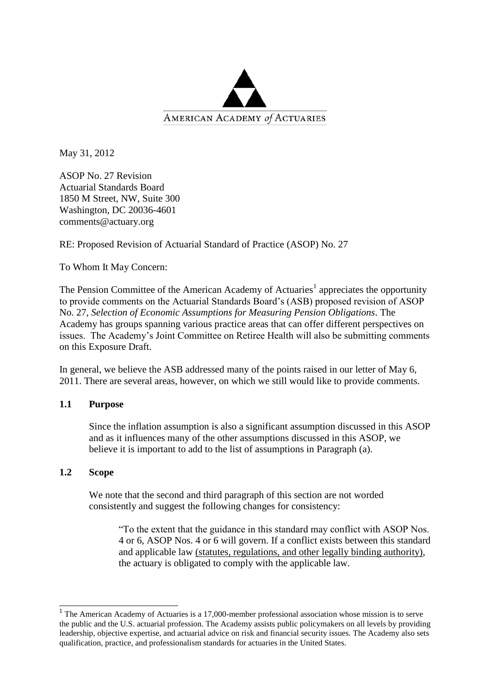

May 31, 2012

ASOP No. 27 Revision Actuarial Standards Board 1850 M Street, NW, Suite 300 Washington, DC 20036-4601 comments@actuary.org

RE: Proposed Revision of Actuarial Standard of Practice (ASOP) No. 27

## To Whom It May Concern:

The Pension Committee of the American Academy of Actuaries<sup>1</sup> appreciates the opportunity to provide comments on the Actuarial Standards Board's (ASB) proposed revision of ASOP No. 27, *Selection of Economic Assumptions for Measuring Pension Obligations*. The Academy has groups spanning various practice areas that can offer different perspectives on issues. The Academy's Joint Committee on Retiree Health will also be submitting comments on this Exposure Draft.

In general, we believe the ASB addressed many of the points raised in our letter of May 6, 2011. There are several areas, however, on which we still would like to provide comments.

### **1.1 Purpose**

Since the inflation assumption is also a significant assumption discussed in this ASOP and as it influences many of the other assumptions discussed in this ASOP, we believe it is important to add to the list of assumptions in Paragraph (a).

### **1.2 Scope**

We note that the second and third paragraph of this section are not worded consistently and suggest the following changes for consistency:

"To the extent that the guidance in this standard may conflict with ASOP Nos. 4 or 6, ASOP Nos. 4 or 6 will govern. If a conflict exists between this standard and applicable law (statutes, regulations, and other legally binding authority), the actuary is obligated to comply with the applicable law.

<sup>&</sup>lt;sup>1</sup> The American Academy of Actuaries is a 17,000-member professional association whose mission is to serve the public and the U.S. actuarial profession. The Academy assists public policymakers on all levels by providing leadership, objective expertise, and actuarial advice on risk and financial security issues. The Academy also sets qualification, practice, and professionalism standards for actuaries in the United States.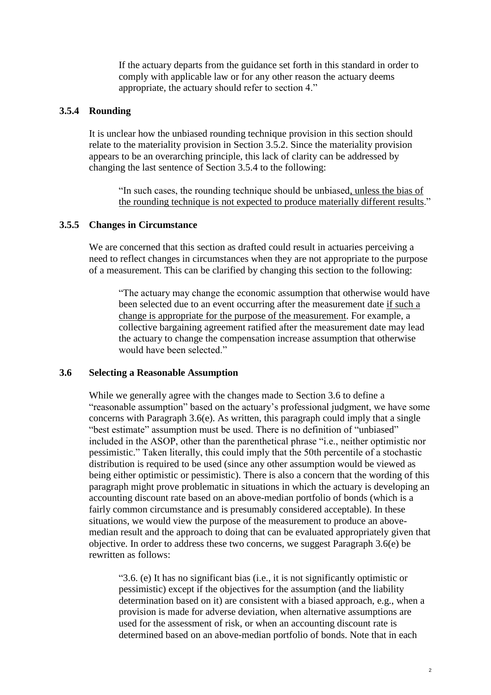If the actuary departs from the guidance set forth in this standard in order to comply with applicable law or for any other reason the actuary deems appropriate, the actuary should refer to section 4."

#### **3.5.4 Rounding**

It is unclear how the unbiased rounding technique provision in this section should relate to the materiality provision in Section 3.5.2. Since the materiality provision appears to be an overarching principle, this lack of clarity can be addressed by changing the last sentence of Section 3.5.4 to the following:

"In such cases, the rounding technique should be unbiased, unless the bias of the rounding technique is not expected to produce materially different results."

#### **3.5.5 Changes in Circumstance**

We are concerned that this section as drafted could result in actuaries perceiving a need to reflect changes in circumstances when they are not appropriate to the purpose of a measurement. This can be clarified by changing this section to the following:

"The actuary may change the economic assumption that otherwise would have been selected due to an event occurring after the measurement date if such a change is appropriate for the purpose of the measurement. For example, a collective bargaining agreement ratified after the measurement date may lead the actuary to change the compensation increase assumption that otherwise would have been selected."

#### **3.6 Selecting a Reasonable Assumption**

While we generally agree with the changes made to Section 3.6 to define a "reasonable assumption" based on the actuary's professional judgment, we have some concerns with Paragraph 3.6(e). As written, this paragraph could imply that a single "best estimate" assumption must be used. There is no definition of "unbiased" included in the ASOP, other than the parenthetical phrase "i.e., neither optimistic nor pessimistic." Taken literally, this could imply that the 50th percentile of a stochastic distribution is required to be used (since any other assumption would be viewed as being either optimistic or pessimistic). There is also a concern that the wording of this paragraph might prove problematic in situations in which the actuary is developing an accounting discount rate based on an above-median portfolio of bonds (which is a fairly common circumstance and is presumably considered acceptable). In these situations, we would view the purpose of the measurement to produce an abovemedian result and the approach to doing that can be evaluated appropriately given that objective. In order to address these two concerns, we suggest Paragraph 3.6(e) be rewritten as follows:

"3.6. (e) It has no significant bias (i.e., it is not significantly optimistic or pessimistic) except if the objectives for the assumption (and the liability determination based on it) are consistent with a biased approach, e.g., when a provision is made for adverse deviation, when alternative assumptions are used for the assessment of risk, or when an accounting discount rate is determined based on an above-median portfolio of bonds. Note that in each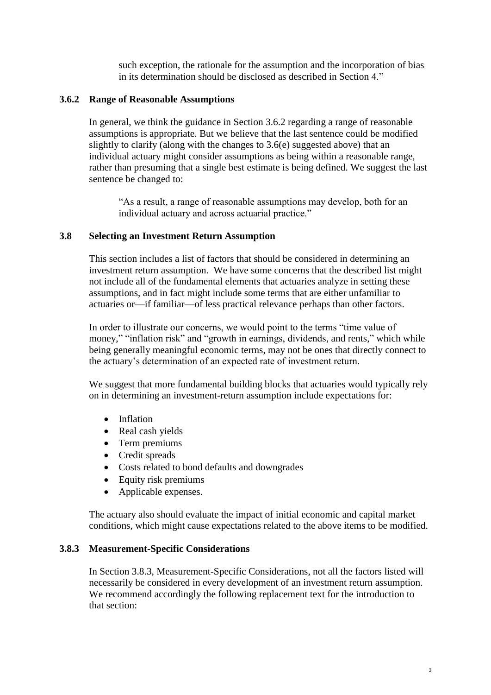such exception, the rationale for the assumption and the incorporation of bias in its determination should be disclosed as described in Section 4."

### **3.6.2 Range of Reasonable Assumptions**

In general, we think the guidance in Section 3.6.2 regarding a range of reasonable assumptions is appropriate. But we believe that the last sentence could be modified slightly to clarify (along with the changes to 3.6(e) suggested above) that an individual actuary might consider assumptions as being within a reasonable range, rather than presuming that a single best estimate is being defined. We suggest the last sentence be changed to:

"As a result, a range of reasonable assumptions may develop, both for an individual actuary and across actuarial practice."

# **3.8 Selecting an Investment Return Assumption**

This section includes a list of factors that should be considered in determining an investment return assumption. We have some concerns that the described list might not include all of the fundamental elements that actuaries analyze in setting these assumptions, and in fact might include some terms that are either unfamiliar to actuaries or—if familiar—of less practical relevance perhaps than other factors.

In order to illustrate our concerns, we would point to the terms "time value of money," "inflation risk" and "growth in earnings, dividends, and rents," which while being generally meaningful economic terms, may not be ones that directly connect to the actuary's determination of an expected rate of investment return.

We suggest that more fundamental building blocks that actuaries would typically rely on in determining an investment-return assumption include expectations for:

- Inflation
- Real cash yields
- Term premiums
- Credit spreads
- Costs related to bond defaults and downgrades
- Equity risk premiums
- Applicable expenses.

The actuary also should evaluate the impact of initial economic and capital market conditions, which might cause expectations related to the above items to be modified.

### **3.8.3 Measurement-Specific Considerations**

In Section 3.8.3, Measurement-Specific Considerations, not all the factors listed will necessarily be considered in every development of an investment return assumption. We recommend accordingly the following replacement text for the introduction to that section: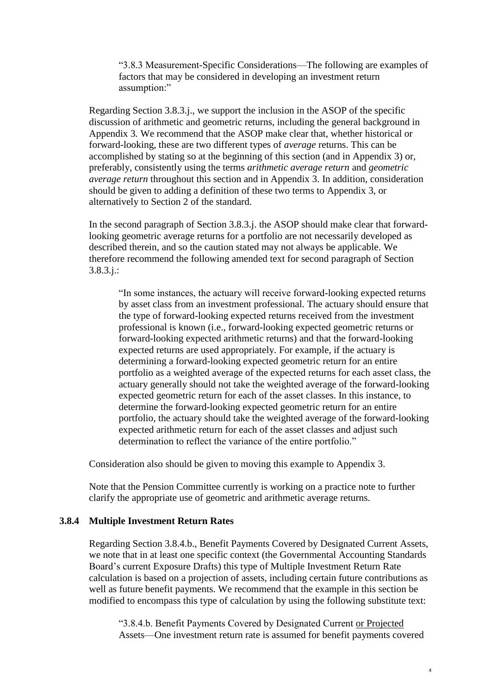"3.8.3 Measurement-Specific Considerations—The following are examples of factors that may be considered in developing an investment return assumption:"

Regarding Section 3.8.3.j., we support the inclusion in the ASOP of the specific discussion of arithmetic and geometric returns, including the general background in Appendix 3*.* We recommend that the ASOP make clear that, whether historical or forward-looking, these are two different types of *average* returns. This can be accomplished by stating so at the beginning of this section (and in Appendix 3) or, preferably, consistently using the terms *arithmetic average return* and *geometric average return* throughout this section and in Appendix 3. In addition, consideration should be given to adding a definition of these two terms to Appendix 3, or alternatively to Section 2 of the standard.

In the second paragraph of Section 3.8.3.j. the ASOP should make clear that forwardlooking geometric average returns for a portfolio are not necessarily developed as described therein, and so the caution stated may not always be applicable. We therefore recommend the following amended text for second paragraph of Section 3.8.3.j.:

"In some instances, the actuary will receive forward-looking expected returns by asset class from an investment professional. The actuary should ensure that the type of forward-looking expected returns received from the investment professional is known (i.e., forward-looking expected geometric returns or forward-looking expected arithmetic returns) and that the forward-looking expected returns are used appropriately. For example, if the actuary is determining a forward-looking expected geometric return for an entire portfolio as a weighted average of the expected returns for each asset class, the actuary generally should not take the weighted average of the forward-looking expected geometric return for each of the asset classes. In this instance, to determine the forward-looking expected geometric return for an entire portfolio, the actuary should take the weighted average of the forward-looking expected arithmetic return for each of the asset classes and adjust such determination to reflect the variance of the entire portfolio."

Consideration also should be given to moving this example to Appendix 3.

Note that the Pension Committee currently is working on a practice note to further clarify the appropriate use of geometric and arithmetic average returns.

### **3.8.4 Multiple Investment Return Rates**

Regarding Section 3.8.4.b., Benefit Payments Covered by Designated Current Assets, we note that in at least one specific context (the Governmental Accounting Standards Board's current Exposure Drafts) this type of Multiple Investment Return Rate calculation is based on a projection of assets, including certain future contributions as well as future benefit payments. We recommend that the example in this section be modified to encompass this type of calculation by using the following substitute text:

"3.8.4.b. Benefit Payments Covered by Designated Current or Projected Assets—One investment return rate is assumed for benefit payments covered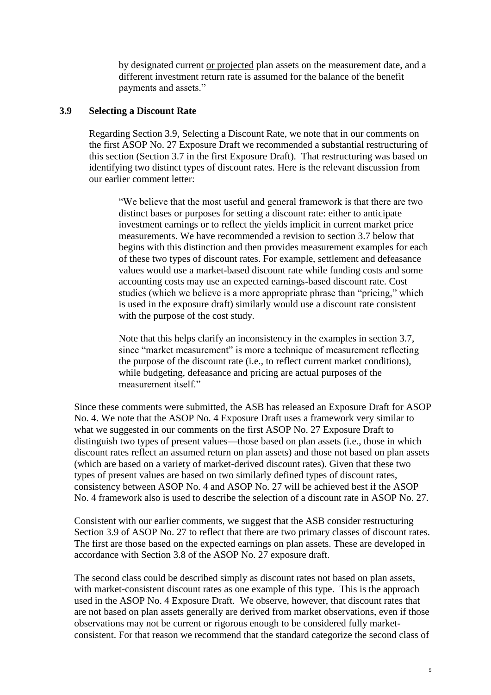by designated current or projected plan assets on the measurement date, and a different investment return rate is assumed for the balance of the benefit payments and assets."

### **3.9 Selecting a Discount Rate**

Regarding Section 3.9, Selecting a Discount Rate, we note that in our comments on the first ASOP No. 27 Exposure Draft we recommended a substantial restructuring of this section (Section 3.7 in the first Exposure Draft). That restructuring was based on identifying two distinct types of discount rates. Here is the relevant discussion from our earlier comment letter:

"We believe that the most useful and general framework is that there are two distinct bases or purposes for setting a discount rate: either to anticipate investment earnings or to reflect the yields implicit in current market price measurements. We have recommended a revision to section 3.7 below that begins with this distinction and then provides measurement examples for each of these two types of discount rates. For example, settlement and defeasance values would use a market-based discount rate while funding costs and some accounting costs may use an expected earnings-based discount rate. Cost studies (which we believe is a more appropriate phrase than "pricing," which is used in the exposure draft) similarly would use a discount rate consistent with the purpose of the cost study.

Note that this helps clarify an inconsistency in the examples in section 3.7, since "market measurement" is more a technique of measurement reflecting the purpose of the discount rate (i.e., to reflect current market conditions), while budgeting, defeasance and pricing are actual purposes of the measurement itself."

Since these comments were submitted, the ASB has released an Exposure Draft for ASOP No. 4. We note that the ASOP No. 4 Exposure Draft uses a framework very similar to what we suggested in our comments on the first ASOP No. 27 Exposure Draft to distinguish two types of present values—those based on plan assets (i.e., those in which discount rates reflect an assumed return on plan assets) and those not based on plan assets (which are based on a variety of market-derived discount rates). Given that these two types of present values are based on two similarly defined types of discount rates, consistency between ASOP No. 4 and ASOP No. 27 will be achieved best if the ASOP No. 4 framework also is used to describe the selection of a discount rate in ASOP No. 27.

Consistent with our earlier comments, we suggest that the ASB consider restructuring Section 3.9 of ASOP No. 27 to reflect that there are two primary classes of discount rates. The first are those based on the expected earnings on plan assets. These are developed in accordance with Section 3.8 of the ASOP No. 27 exposure draft.

The second class could be described simply as discount rates not based on plan assets, with market-consistent discount rates as one example of this type. This is the approach used in the ASOP No. 4 Exposure Draft. We observe, however, that discount rates that are not based on plan assets generally are derived from market observations, even if those observations may not be current or rigorous enough to be considered fully marketconsistent. For that reason we recommend that the standard categorize the second class of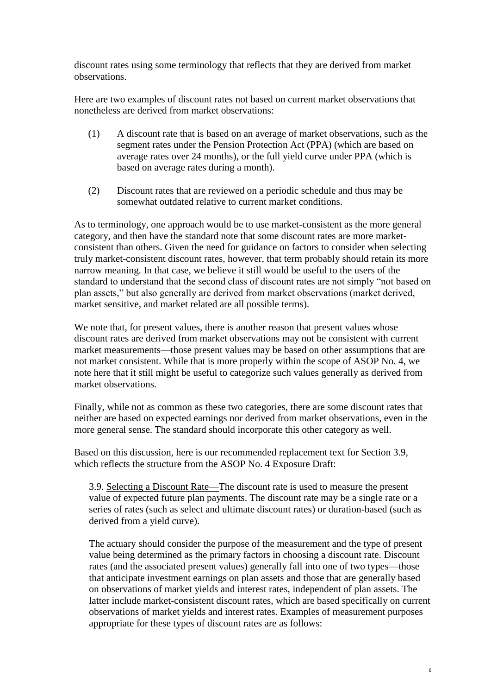discount rates using some terminology that reflects that they are derived from market observations.

Here are two examples of discount rates not based on current market observations that nonetheless are derived from market observations:

- (1) A discount rate that is based on an average of market observations, such as the segment rates under the Pension Protection Act (PPA) (which are based on average rates over 24 months), or the full yield curve under PPA (which is based on average rates during a month).
- (2) Discount rates that are reviewed on a periodic schedule and thus may be somewhat outdated relative to current market conditions.

As to terminology, one approach would be to use market-consistent as the more general category, and then have the standard note that some discount rates are more marketconsistent than others. Given the need for guidance on factors to consider when selecting truly market-consistent discount rates, however, that term probably should retain its more narrow meaning. In that case, we believe it still would be useful to the users of the standard to understand that the second class of discount rates are not simply "not based on plan assets," but also generally are derived from market observations (market derived, market sensitive, and market related are all possible terms).

We note that, for present values, there is another reason that present values whose discount rates are derived from market observations may not be consistent with current market measurements—those present values may be based on other assumptions that are not market consistent. While that is more properly within the scope of ASOP No. 4, we note here that it still might be useful to categorize such values generally as derived from market observations.

Finally, while not as common as these two categories, there are some discount rates that neither are based on expected earnings nor derived from market observations, even in the more general sense. The standard should incorporate this other category as well.

Based on this discussion, here is our recommended replacement text for Section 3.9, which reflects the structure from the ASOP No. 4 Exposure Draft:

3.9. Selecting a Discount Rate—The discount rate is used to measure the present value of expected future plan payments. The discount rate may be a single rate or a series of rates (such as select and ultimate discount rates) or duration-based (such as derived from a yield curve).

The actuary should consider the purpose of the measurement and the type of present value being determined as the primary factors in choosing a discount rate. Discount rates (and the associated present values) generally fall into one of two types—those that anticipate investment earnings on plan assets and those that are generally based on observations of market yields and interest rates, independent of plan assets. The latter include market-consistent discount rates, which are based specifically on current observations of market yields and interest rates. Examples of measurement purposes appropriate for these types of discount rates are as follows: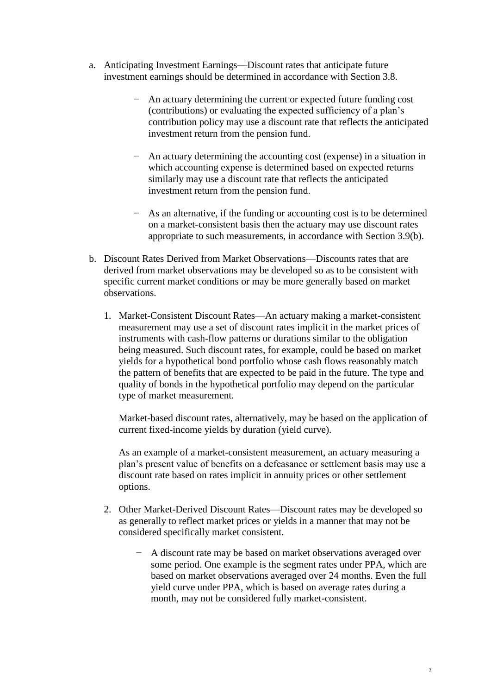- a. Anticipating Investment Earnings—Discount rates that anticipate future investment earnings should be determined in accordance with Section 3.8.
	- − An actuary determining the current or expected future funding cost (contributions) or evaluating the expected sufficiency of a plan's contribution policy may use a discount rate that reflects the anticipated investment return from the pension fund.
	- − An actuary determining the accounting cost (expense) in a situation in which accounting expense is determined based on expected returns similarly may use a discount rate that reflects the anticipated investment return from the pension fund.
	- − As an alternative, if the funding or accounting cost is to be determined on a market-consistent basis then the actuary may use discount rates appropriate to such measurements, in accordance with Section 3.9(b).
- b. Discount Rates Derived from Market Observations—Discounts rates that are derived from market observations may be developed so as to be consistent with specific current market conditions or may be more generally based on market observations.
	- 1. Market-Consistent Discount Rates—An actuary making a market-consistent measurement may use a set of discount rates implicit in the market prices of instruments with cash-flow patterns or durations similar to the obligation being measured. Such discount rates, for example, could be based on market yields for a hypothetical bond portfolio whose cash flows reasonably match the pattern of benefits that are expected to be paid in the future. The type and quality of bonds in the hypothetical portfolio may depend on the particular type of market measurement.

Market-based discount rates, alternatively, may be based on the application of current fixed-income yields by duration (yield curve).

As an example of a market-consistent measurement, an actuary measuring a plan's present value of benefits on a defeasance or settlement basis may use a discount rate based on rates implicit in annuity prices or other settlement options.

- 2. Other Market-Derived Discount Rates—Discount rates may be developed so as generally to reflect market prices or yields in a manner that may not be considered specifically market consistent.
	- A discount rate may be based on market observations averaged over some period. One example is the segment rates under PPA, which are based on market observations averaged over 24 months. Even the full yield curve under PPA, which is based on average rates during a month, may not be considered fully market-consistent.